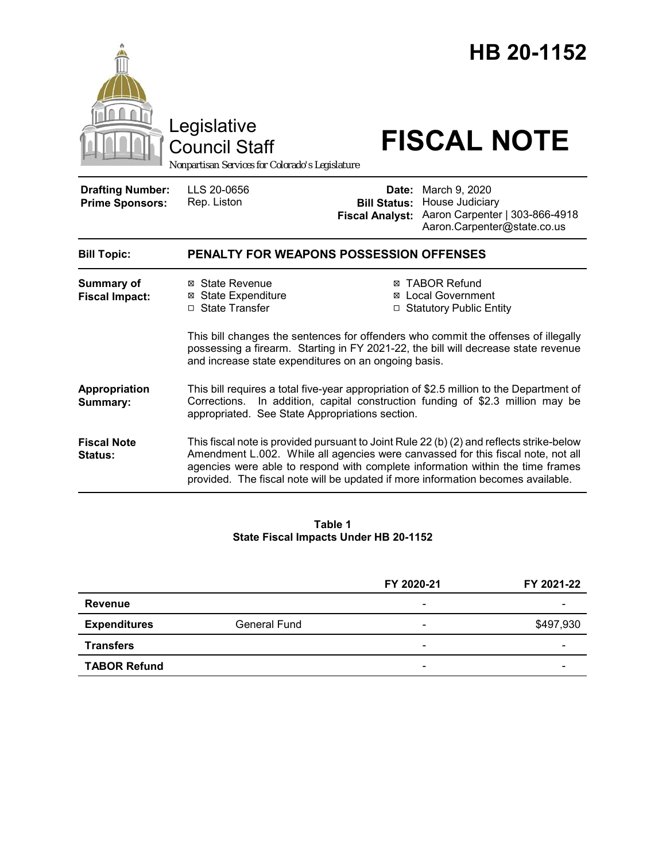|                                                   | Legislative<br><b>Council Staff</b><br>Nonpartisan Services for Colorado's Legislature                                                                                                                                           |                                                        | HB 20-1152<br><b>FISCAL NOTE</b>                                                                                                                                                                                                                                                                                                                   |
|---------------------------------------------------|----------------------------------------------------------------------------------------------------------------------------------------------------------------------------------------------------------------------------------|--------------------------------------------------------|----------------------------------------------------------------------------------------------------------------------------------------------------------------------------------------------------------------------------------------------------------------------------------------------------------------------------------------------------|
| <b>Drafting Number:</b><br><b>Prime Sponsors:</b> | LLS 20-0656<br>Rep. Liston                                                                                                                                                                                                       | Date:<br><b>Bill Status:</b><br><b>Fiscal Analyst:</b> | March 9, 2020<br>House Judiciary<br>Aaron Carpenter   303-866-4918<br>Aaron.Carpenter@state.co.us                                                                                                                                                                                                                                                  |
| <b>Bill Topic:</b>                                | <b>PENALTY FOR WEAPONS POSSESSION OFFENSES</b>                                                                                                                                                                                   |                                                        |                                                                                                                                                                                                                                                                                                                                                    |
| <b>Summary of</b><br><b>Fiscal Impact:</b>        | ⊠ State Revenue<br><b>⊠ State Expenditure</b><br>□ State Transfer<br>and increase state expenditures on an ongoing basis.                                                                                                        |                                                        | <b>⊠ TABOR Refund</b><br><b>⊠</b> Local Government<br>□ Statutory Public Entity<br>This bill changes the sentences for offenders who commit the offenses of illegally<br>possessing a firearm. Starting in FY 2021-22, the bill will decrease state revenue                                                                                        |
| Appropriation<br>Summary:                         | This bill requires a total five-year appropriation of \$2.5 million to the Department of<br>In addition, capital construction funding of \$2.3 million may be<br>Corrections.<br>appropriated. See State Appropriations section. |                                                        |                                                                                                                                                                                                                                                                                                                                                    |
| <b>Fiscal Note</b><br><b>Status:</b>              |                                                                                                                                                                                                                                  |                                                        | This fiscal note is provided pursuant to Joint Rule 22 (b) (2) and reflects strike-below<br>Amendment L.002. While all agencies were canvassed for this fiscal note, not all<br>agencies were able to respond with complete information within the time frames<br>provided. The fiscal note will be updated if more information becomes available. |

#### **Table 1 State Fiscal Impacts Under HB 20-1152**

|                     |                     | FY 2020-21               | FY 2021-22 |
|---------------------|---------------------|--------------------------|------------|
| <b>Revenue</b>      |                     | $\overline{\phantom{0}}$ |            |
| <b>Expenditures</b> | <b>General Fund</b> | $\overline{\phantom{0}}$ | \$497,930  |
| <b>Transfers</b>    |                     | $\overline{\phantom{0}}$ |            |
| <b>TABOR Refund</b> |                     | $\overline{\phantom{a}}$ | -          |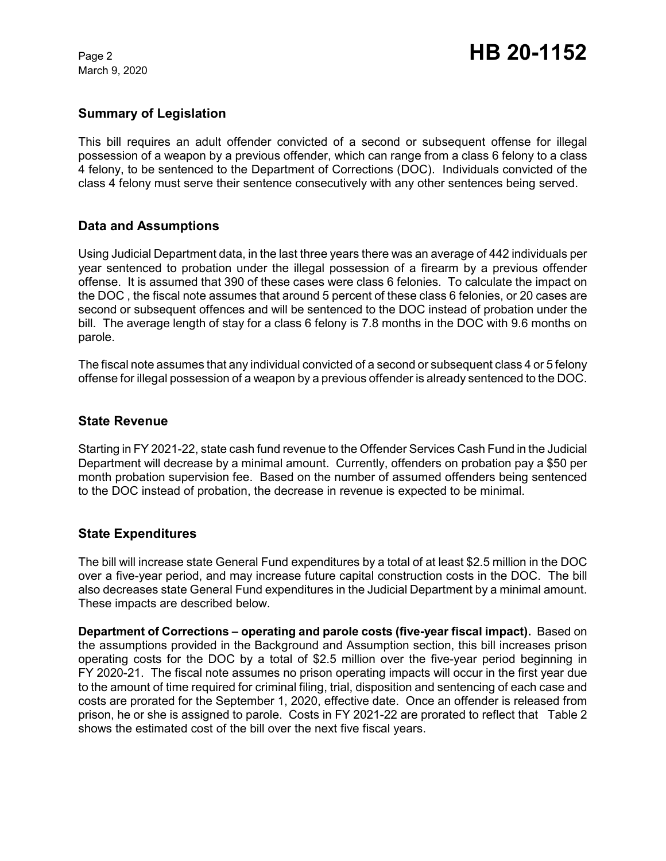March 9, 2020

## **Summary of Legislation**

This bill requires an adult offender convicted of a second or subsequent offense for illegal possession of a weapon by a previous offender, which can range from a class 6 felony to a class 4 felony, to be sentenced to the Department of Corrections (DOC). Individuals convicted of the class 4 felony must serve their sentence consecutively with any other sentences being served.

## **Data and Assumptions**

Using Judicial Department data, in the last three years there was an average of 442 individuals per year sentenced to probation under the illegal possession of a firearm by a previous offender offense. It is assumed that 390 of these cases were class 6 felonies. To calculate the impact on the DOC , the fiscal note assumes that around 5 percent of these class 6 felonies, or 20 cases are second or subsequent offences and will be sentenced to the DOC instead of probation under the bill. The average length of stay for a class 6 felony is 7.8 months in the DOC with 9.6 months on parole.

The fiscal note assumes that any individual convicted of a second or subsequent class 4 or 5 felony offense for illegal possession of a weapon by a previous offender is already sentenced to the DOC.

### **State Revenue**

Starting in FY 2021-22, state cash fund revenue to the Offender Services Cash Fund in the Judicial Department will decrease by a minimal amount. Currently, offenders on probation pay a \$50 per month probation supervision fee. Based on the number of assumed offenders being sentenced to the DOC instead of probation, the decrease in revenue is expected to be minimal.

### **State Expenditures**

The bill will increase state General Fund expenditures by a total of at least \$2.5 million in the DOC over a five-year period, and may increase future capital construction costs in the DOC. The bill also decreases state General Fund expenditures in the Judicial Department by a minimal amount. These impacts are described below.

**Department of Corrections – operating and parole costs (five-year fiscal impact).**Based on the assumptions provided in the Background and Assumption section, this bill increases prison operating costs for the DOC by a total of \$2.5 million over the five-year period beginning in FY 2020-21. The fiscal note assumes no prison operating impacts will occur in the first year due to the amount of time required for criminal filing, trial, disposition and sentencing of each case and costs are prorated for the September 1, 2020, effective date. Once an offender is released from prison, he or she is assigned to parole. Costs in FY 2021-22 are prorated to reflect that Table 2 shows the estimated cost of the bill over the next five fiscal years.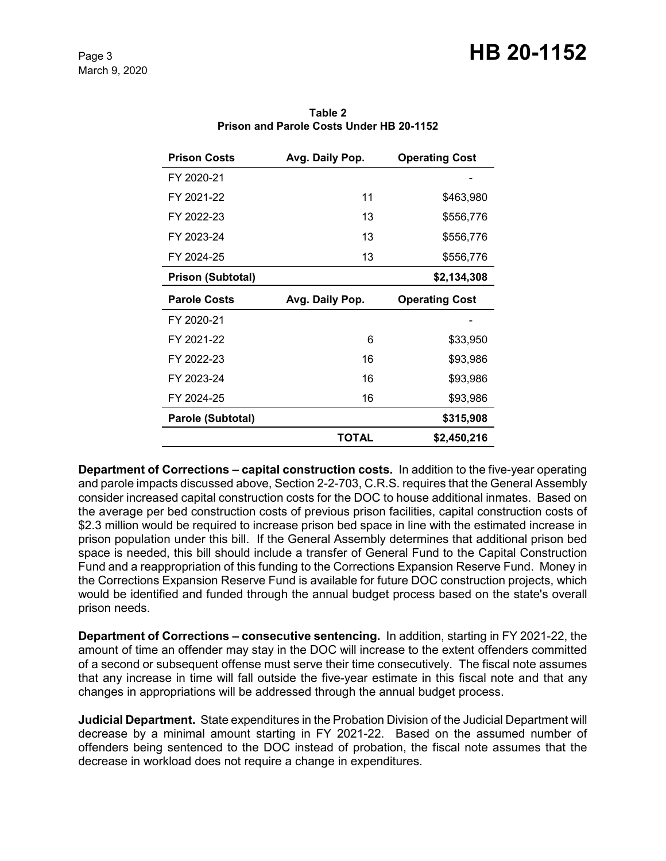# Page 3 **HB 20-1152**

| <b>Prison Costs</b>      | Avg. Daily Pop. | <b>Operating Cost</b> |
|--------------------------|-----------------|-----------------------|
| FY 2020-21               |                 |                       |
| FY 2021-22               | 11              | \$463,980             |
| FY 2022-23               | 13              | \$556,776             |
| FY 2023-24               | 13              | \$556,776             |
| FY 2024-25               | 13              | \$556,776             |
| <b>Prison (Subtotal)</b> |                 | \$2,134,308           |
| <b>Parole Costs</b>      | Avg. Daily Pop. | <b>Operating Cost</b> |
|                          |                 |                       |
| FY 2020-21               |                 |                       |
| FY 2021-22               | 6               | \$33,950              |
| FY 2022-23               | 16              | \$93,986              |
| FY 2023-24               | 16              | \$93,986              |
| FY 2024-25               | 16              | \$93,986              |
| Parole (Subtotal)        |                 | \$315,908             |

**Table 2 Prison and Parole Costs Under HB 20-1152**

**Department of Corrections – capital construction costs.** In addition to the five-year operating and parole impacts discussed above, Section 2-2-703, C.R.S. requires that the General Assembly consider increased capital construction costs for the DOC to house additional inmates. Based on the average per bed construction costs of previous prison facilities, capital construction costs of \$2.3 million would be required to increase prison bed space in line with the estimated increase in prison population under this bill. If the General Assembly determines that additional prison bed space is needed, this bill should include a transfer of General Fund to the Capital Construction Fund and a reappropriation of this funding to the Corrections Expansion Reserve Fund. Money in the Corrections Expansion Reserve Fund is available for future DOC construction projects, which would be identified and funded through the annual budget process based on the state's overall prison needs.

**Department of Corrections – consecutive sentencing.** In addition, starting in FY 2021-22, the amount of time an offender may stay in the DOC will increase to the extent offenders committed of a second or subsequent offense must serve their time consecutively. The fiscal note assumes that any increase in time will fall outside the five-year estimate in this fiscal note and that any changes in appropriations will be addressed through the annual budget process.

**Judicial Department.** State expenditures in the Probation Division of the Judicial Department will decrease by a minimal amount starting in FY 2021-22. Based on the assumed number of offenders being sentenced to the DOC instead of probation, the fiscal note assumes that the decrease in workload does not require a change in expenditures.